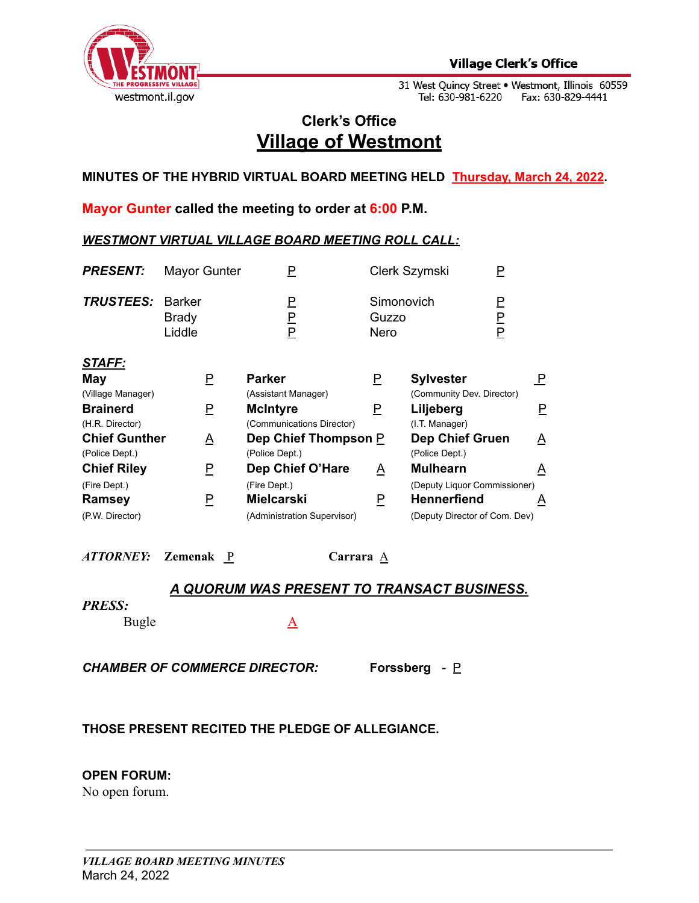

31 West Quincy Street • Westmont, Illinois 60559<br>Tel: 630-981-6220 Fax: 630-829-4441

# **Clerk's Office Village of Westmont**

**MINUTES OF THE HYBRID VIRTUAL BOARD MEETING HELD Thursday, March 24, 2022.**

**Mayor Gunter called the meeting to order at 6:00 P.M.**

# *WESTMONT VIRTUAL VILLAGE BOARD MEETING ROLL CALL:*

| <b>PRESENT:</b>                        | Mayor Gunter                            | Ρ                                                |                                    | Clerk Szymski<br>P                                  |                         |
|----------------------------------------|-----------------------------------------|--------------------------------------------------|------------------------------------|-----------------------------------------------------|-------------------------|
| <b>TRUSTEES:</b>                       | <b>Barker</b><br><b>Brady</b><br>Liddle | P<br>$\overline{\mathsf{F}}$<br>P                | Simonovich<br>Guzzo<br><b>Nero</b> | P<br>P<br>P                                         |                         |
| STAFF:<br>May<br>(Village Manager)     | P                                       | <b>Parker</b><br>(Assistant Manager)             | $\overline{P}$                     | <b>Sylvester</b><br>(Community Dev. Director)       | $\overline{\mathsf{P}}$ |
| <b>Brainerd</b><br>(H.R. Director)     | P                                       | <b>McIntyre</b><br>(Communications Director)     | P                                  | Liljeberg<br>(I.T. Manager)                         | Е.                      |
| <b>Chief Gunther</b><br>(Police Dept.) | A                                       | Dep Chief Thompson P<br>(Police Dept.)           |                                    | <b>Dep Chief Gruen</b><br>(Police Dept.)            | A                       |
| <b>Chief Riley</b>                     | P                                       | Dep Chief O'Hare                                 | $\overline{\mathsf{A}}$            | <b>Mulhearn</b>                                     | $\triangle$             |
| (Fire Dept.)                           |                                         | (Fire Dept.)                                     |                                    | (Deputy Liquor Commissioner)                        |                         |
| Ramsey<br>(P.W. Director)              | P                                       | <b>Mielcarski</b><br>(Administration Supervisor) | P                                  | <b>Hennerfiend</b><br>(Deputy Director of Com. Dev) | A                       |

*ATTORNEY:* **Zemenak** P **Carrara** A

# *A QUORUM WAS PRESENT TO TRANSACT BUSINESS.*

#### *PRESS:*

Bugle A

*CHAMBER OF COMMERCE DIRECTOR:* **Forssberg** *-* P

# **THOSE PRESENT RECITED THE PLEDGE OF ALLEGIANCE.**

# **OPEN FORUM:**

No open forum.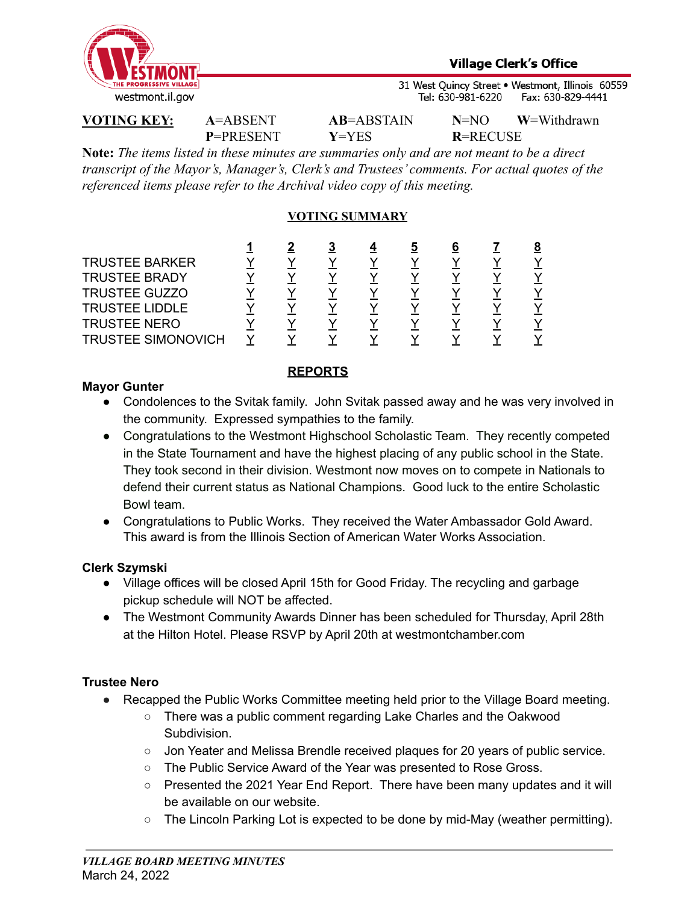

31 West Quincy Street . Westmont, Illinois 60559 Tel: 630-981-6220 Fax: 630-829-4441

**P**=PRESENT **Y**=YES **R**=RECUSE

**VOTING KEY: A**=ABSENT **AB**=ABSTAIN **N**=NO **W**=Withdrawn

**Note:** *The items listed in these minutes are summaries only and are not meant to be a direct transcript of the Mayor's, Manager's, Clerk's and Trustees' comments. For actual quotes of the referenced items please refer to the Archival video copy of this meeting.*

# **VOTING SUMMARY**

|                       |  | 3 | C | b |  |
|-----------------------|--|---|---|---|--|
| <b>TRUSTEE BARKER</b> |  |   |   |   |  |
| <b>TRUSTEE BRADY</b>  |  |   |   |   |  |
| <b>TRUSTEE GUZZO</b>  |  |   |   |   |  |
| <b>TRUSTEE LIDDLE</b> |  |   |   |   |  |
| <b>TRUSTEE NERO</b>   |  |   |   |   |  |
| TRUSTEE SIMONOVICH    |  |   |   |   |  |

## **REPORTS**

## **Mayor Gunter**

- Condolences to the Svitak family. John Svitak passed away and he was very involved in the community. Expressed sympathies to the family.
- Congratulations to the Westmont Highschool Scholastic Team. They recently competed in the State Tournament and have the highest placing of any public school in the State. They took second in their division. Westmont now moves on to compete in Nationals to defend their current status as National Champions. Good luck to the entire Scholastic Bowl team.
- Congratulations to Public Works. They received the Water Ambassador Gold Award. This award is from the Illinois Section of American Water Works Association.

# **Clerk Szymski**

- Village offices will be closed April 15th for Good Friday. The recycling and garbage pickup schedule will NOT be affected.
- The Westmont Community Awards Dinner has been scheduled for Thursday, April 28th at the Hilton Hotel. Please RSVP by April 20th at westmontchamber.com

# **Trustee Nero**

- Recapped the Public Works Committee meeting held prior to the Village Board meeting.
	- There was a public comment regarding Lake Charles and the Oakwood Subdivision.
	- Jon Yeater and Melissa Brendle received plaques for 20 years of public service.
	- The Public Service Award of the Year was presented to Rose Gross.
	- Presented the 2021 Year End Report. There have been many updates and it will be available on our website.
	- The Lincoln Parking Lot is expected to be done by mid-May (weather permitting).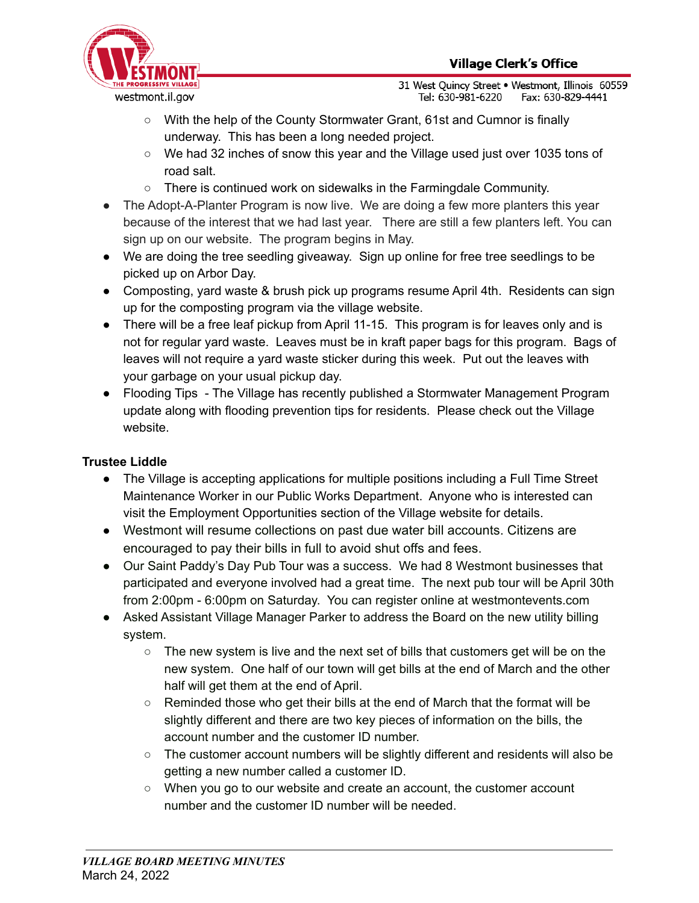

31 West Quincy Street . Westmont, Illinois 60559 Tel: 630-981-6220 Fax: 630-829-4441

- With the help of the County Stormwater Grant, 61st and Cumnor is finally underway. This has been a long needed project.
- We had 32 inches of snow this year and the Village used just over 1035 tons of road salt.
- There is continued work on sidewalks in the Farmingdale Community.
- **●** The Adopt-A-Planter Program is now live. We are doing a few more planters this year because of the interest that we had last year. There are still a few planters left. You can sign up on our website. The program begins in May.
- We are doing the tree seedling giveaway. Sign up online for free tree seedlings to be picked up on Arbor Day.
- Composting, yard waste & brush pick up programs resume April 4th. Residents can sign up for the composting program via the village website.
- There will be a free leaf pickup from April 11-15. This program is for leaves only and is not for regular yard waste. Leaves must be in kraft paper bags for this program. Bags of leaves will not require a yard waste sticker during this week. Put out the leaves with your garbage on your usual pickup day.
- Flooding Tips The Village has recently published a Stormwater Management Program update along with flooding prevention tips for residents. Please check out the Village website.

# **Trustee Liddle**

- The Village is accepting applications for multiple positions including a Full Time Street Maintenance Worker in our Public Works Department. Anyone who is interested can visit the Employment Opportunities section of the Village website for details.
- Westmont will resume collections on past due water bill accounts. Citizens are encouraged to pay their bills in full to avoid shut offs and fees.
- Our Saint Paddy's Day Pub Tour was a success. We had 8 Westmont businesses that participated and everyone involved had a great time. The next pub tour will be April 30th from 2:00pm - 6:00pm on Saturday. You can register online at westmontevents.com
- Asked Assistant Village Manager Parker to address the Board on the new utility billing system.
	- The new system is live and the next set of bills that customers get will be on the new system. One half of our town will get bills at the end of March and the other half will get them at the end of April.
	- Reminded those who get their bills at the end of March that the format will be slightly different and there are two key pieces of information on the bills, the account number and the customer ID number.
	- $\circ$  The customer account numbers will be slightly different and residents will also be getting a new number called a customer ID.
	- When you go to our website and create an account, the customer account number and the customer ID number will be needed.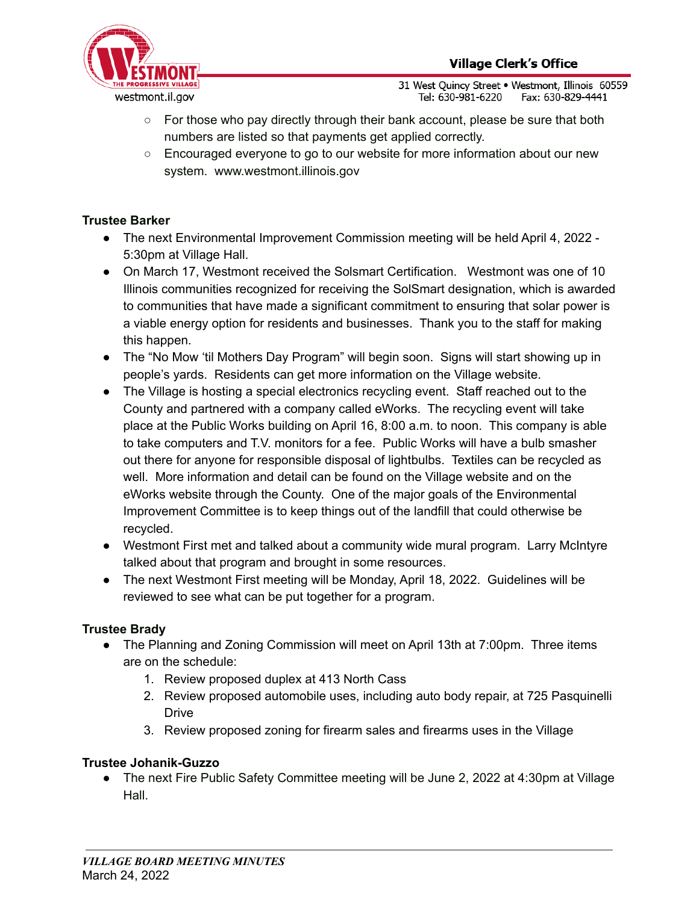

31 West Ouincy Street . Westmont, Illinois 60559 Tel: 630-981-6220 Fax: 630-829-4441

- $\circ$  For those who pay directly through their bank account, please be sure that both numbers are listed so that payments get applied correctly.
- Encouraged everyone to go to our website for more information about our new system. www.westmont.illinois.gov

# **Trustee Barker**

- **●** The next Environmental Improvement Commission meeting will be held April 4, 2022 5:30pm at Village Hall.
- On March 17, Westmont received the Solsmart Certification. Westmont was one of 10 Illinois communities recognized for receiving the SolSmart designation, which is awarded to communities that have made a significant commitment to ensuring that solar power is a viable energy option for residents and businesses. Thank you to the staff for making this happen.
- **●** The "No Mow 'til Mothers Day Program" will begin soon. Signs will start showing up in people's yards. Residents can get more information on the Village website.
- The Village is hosting a special electronics recycling event. Staff reached out to the County and partnered with a company called eWorks. The recycling event will take place at the Public Works building on April 16, 8:00 a.m. to noon. This company is able to take computers and T.V. monitors for a fee. Public Works will have a bulb smasher out there for anyone for responsible disposal of lightbulbs. Textiles can be recycled as well. More information and detail can be found on the Village website and on the eWorks website through the County. One of the major goals of the Environmental Improvement Committee is to keep things out of the landfill that could otherwise be recycled.
- Westmont First met and talked about a community wide mural program. Larry McIntyre talked about that program and brought in some resources.
- The next Westmont First meeting will be Monday, April 18, 2022. Guidelines will be reviewed to see what can be put together for a program.

# **Trustee Brady**

- The Planning and Zoning Commission will meet on April 13th at 7:00pm. Three items are on the schedule:
	- 1. Review proposed duplex at 413 North Cass
	- 2. Review proposed automobile uses, including auto body repair, at 725 Pasquinelli **Drive**
	- 3. Review proposed zoning for firearm sales and firearms uses in the Village

# **Trustee Johanik-Guzzo**

● The next Fire Public Safety Committee meeting will be June 2, 2022 at 4:30pm at Village Hall.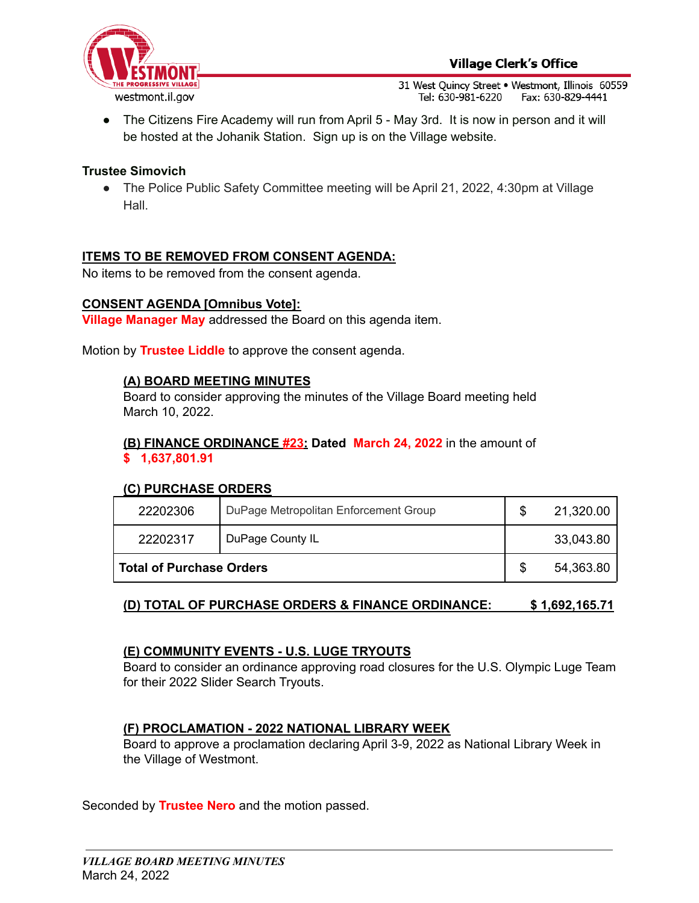

31 West Quincy Street . Westmont, Illinois 60559 Tel: 630-981-6220 Fax: 630-829-4441

• The Citizens Fire Academy will run from April 5 - May 3rd. It is now in person and it will be hosted at the Johanik Station. Sign up is on the Village website.

## **Trustee Simovich**

● The Police Public Safety Committee meeting will be April 21, 2022, 4:30pm at Village Hall.

# **ITEMS TO BE REMOVED FROM CONSENT AGENDA:**

No items to be removed from the consent agenda.

#### **CONSENT AGENDA [Omnibus Vote]:**

**Village Manager May** addressed the Board on this agenda item.

Motion by **Trustee Liddle** to approve the consent agenda.

#### **(A) BOARD MEETING MINUTES**

Board to consider approving the minutes of the Village Board meeting held March 10, 2022.

#### **(B) FINANCE ORDINANCE #23: Dated March 24, 2022** in the amount of **\$ 1,637,801.91**

#### **(C) PURCHASE ORDERS**

| 22202306                        | DuPage Metropolitan Enforcement Group | 21,320.00 |
|---------------------------------|---------------------------------------|-----------|
| 22202317                        | DuPage County IL                      | 33,043.80 |
| <b>Total of Purchase Orders</b> |                                       | 54,363.80 |

# **(D) TOTAL OF PURCHASE ORDERS & FINANCE ORDINANCE: \$ 1,692,165.71**

#### **(E) COMMUNITY EVENTS - U.S. LUGE TRYOUTS**

Board to consider an ordinance approving road closures for the U.S. Olympic Luge Team for their 2022 Slider Search Tryouts.

#### **(F) PROCLAMATION - 2022 NATIONAL LIBRARY WEEK**

Board to approve a proclamation declaring April 3-9, 2022 as National Library Week in the Village of Westmont.

Seconded by **Trustee Nero** and the motion passed.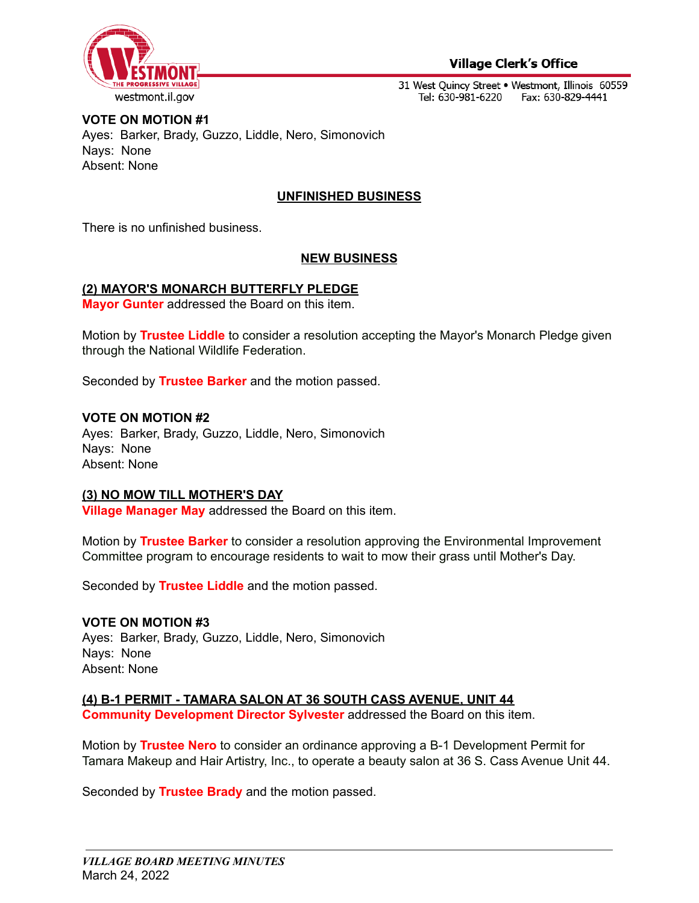

## **Village Clerk's Office**

31 West Quincy Street . Westmont, Illinois 60559 Tel: 630-981-6220 Fax: 630-829-4441

# **VOTE ON MOTION #1** Ayes: Barker, Brady, Guzzo, Liddle, Nero, Simonovich Nays: None Absent: None

# **UNFINISHED BUSINESS**

There is no unfinished business.

## **NEW BUSINESS**

#### **(2) MAYOR'S MONARCH BUTTERFLY PLEDGE**

**Mayor Gunter** addressed the Board on this item.

Motion by **Trustee Liddle** to consider a resolution accepting the Mayor's Monarch Pledge given through the National Wildlife Federation.

Seconded by **Trustee Barker** and the motion passed.

#### **VOTE ON MOTION #2**

Ayes: Barker, Brady, Guzzo, Liddle, Nero, Simonovich Nays: None Absent: None

#### **(3) NO MOW TILL MOTHER'S DAY**

**Village Manager May** addressed the Board on this item.

Motion by **Trustee Barker** to consider a resolution approving the Environmental Improvement Committee program to encourage residents to wait to mow their grass until Mother's Day.

Seconded by **Trustee Liddle** and the motion passed.

#### **VOTE ON MOTION #3**

Ayes: Barker, Brady, Guzzo, Liddle, Nero, Simonovich Nays: None Absent: None

# **(4) B-1 PERMIT - TAMARA SALON AT 36 SOUTH CASS AVENUE, UNIT 44**

**Community Development Director Sylvester** addressed the Board on this item.

Motion by **Trustee Nero** to consider an ordinance approving a B-1 Development Permit for Tamara Makeup and Hair Artistry, Inc., to operate a beauty salon at 36 S. Cass Avenue Unit 44.

Seconded by **Trustee Brady** and the motion passed.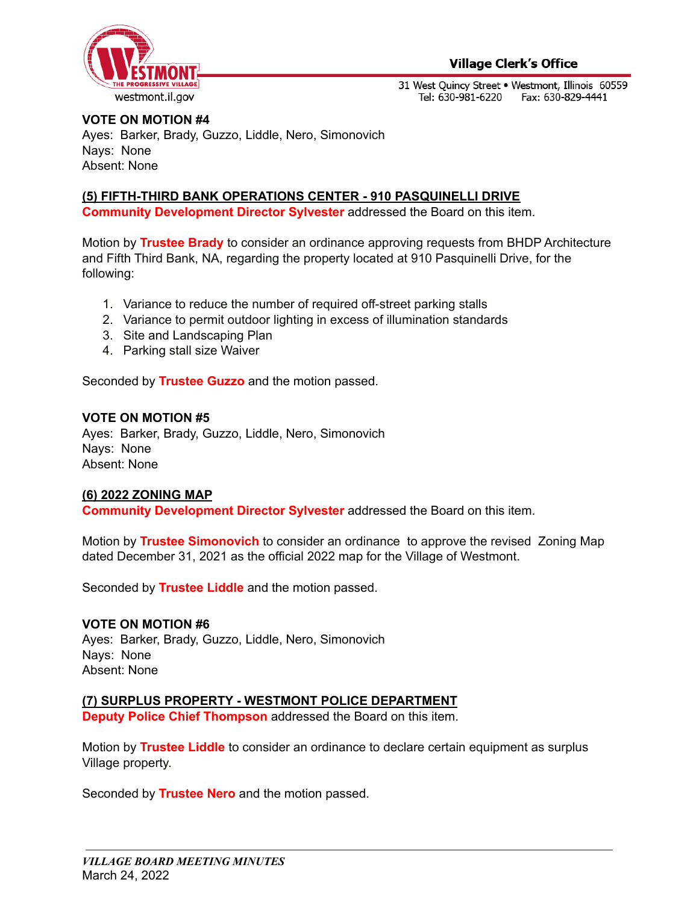

31 West Quincy Street . Westmont, Illinois 60559 Tel: 630-981-6220 Fax: 630-829-4441

# **VOTE ON MOTION #4**

Ayes: Barker, Brady, Guzzo, Liddle, Nero, Simonovich Nays: None Absent: None

## **(5) FIFTH-THIRD BANK OPERATIONS CENTER - 910 PASQUINELLI DRIVE**

**Community Development Director Sylvester** addressed the Board on this item.

Motion by **Trustee Brady** to consider an ordinance approving requests from BHDP Architecture and Fifth Third Bank, NA, regarding the property located at 910 Pasquinelli Drive, for the following:

- 1. Variance to reduce the number of required off-street parking stalls
- 2. Variance to permit outdoor lighting in excess of illumination standards
- 3. Site and Landscaping Plan
- 4. Parking stall size Waiver

Seconded by **Trustee Guzzo** and the motion passed.

#### **VOTE ON MOTION #5**

Ayes: Barker, Brady, Guzzo, Liddle, Nero, Simonovich Nays: None Absent: None

#### **(6) 2022 ZONING MAP**

**Community Development Director Sylvester** addressed the Board on this item.

Motion by **Trustee Simonovich** to consider an ordinance to approve the revised Zoning Map dated December 31, 2021 as the official 2022 map for the Village of Westmont.

Seconded by **Trustee Liddle** and the motion passed.

#### **VOTE ON MOTION #6**

Ayes: Barker, Brady, Guzzo, Liddle, Nero, Simonovich Nays: None Absent: None

#### **(7) SURPLUS PROPERTY - WESTMONT POLICE DEPARTMENT**

**Deputy Police Chief Thompson** addressed the Board on this item.

Motion by **Trustee Liddle** to consider an ordinance to declare certain equipment as surplus Village property.

Seconded by **Trustee Nero** and the motion passed.